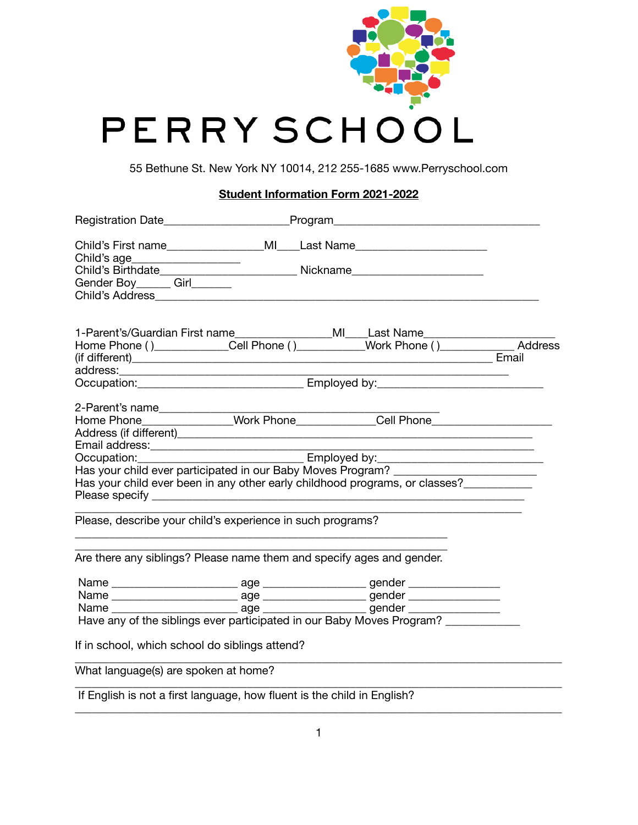

55 Bethune St. New York NY 10014, 212 255-1685 www.Perryschool.com

## **Student Information Form 2021-2022**

|                                                                                                                                                                                                                                  | Registration Date______________________________Program__________________________                                                                                            |  |
|----------------------------------------------------------------------------------------------------------------------------------------------------------------------------------------------------------------------------------|-----------------------------------------------------------------------------------------------------------------------------------------------------------------------------|--|
| Child's age______________________                                                                                                                                                                                                | Child's First name______________________MI____Last Name_________________________                                                                                            |  |
| Gender Boy _______ Girl________                                                                                                                                                                                                  |                                                                                                                                                                             |  |
|                                                                                                                                                                                                                                  | 1-Parent's/Guardian First name___________________MI____Last Name________________<br>Home Phone ()_____________Cell Phone ()___________Work Phone ()_________________Address |  |
|                                                                                                                                                                                                                                  |                                                                                                                                                                             |  |
|                                                                                                                                                                                                                                  |                                                                                                                                                                             |  |
| 2-Parent's name_______________                                                                                                                                                                                                   | Home Phone________________Work Phone_____________Cell Phone______________________                                                                                           |  |
| Email address:<br>example and the same state of the state of the state of the state of the state of the state of the state of the state of the state of the state of the state of the state of the state of the state of the sta |                                                                                                                                                                             |  |
|                                                                                                                                                                                                                                  | Has your child ever participated in our Baby Moves Program? ____________________<br>Has your child ever been in any other early childhood programs, or classes?___________  |  |
| Please, describe your child's experience in such programs?                                                                                                                                                                       |                                                                                                                                                                             |  |
| Are there any siblings? Please name them and specify ages and gender.                                                                                                                                                            |                                                                                                                                                                             |  |
|                                                                                                                                                                                                                                  |                                                                                                                                                                             |  |
|                                                                                                                                                                                                                                  |                                                                                                                                                                             |  |
|                                                                                                                                                                                                                                  |                                                                                                                                                                             |  |
|                                                                                                                                                                                                                                  | Have any of the siblings ever participated in our Baby Moves Program?                                                                                                       |  |
| If in school, which school do siblings attend?                                                                                                                                                                                   |                                                                                                                                                                             |  |
| What language(s) are spoken at home?                                                                                                                                                                                             |                                                                                                                                                                             |  |
| If English is not a first language, how fluent is the child in English?                                                                                                                                                          |                                                                                                                                                                             |  |